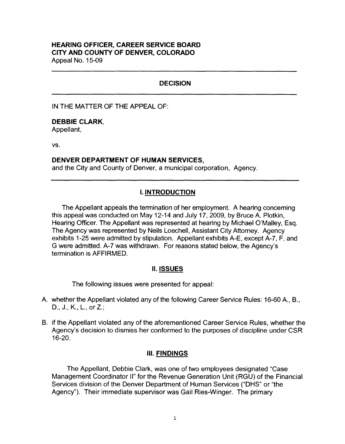# **HEARING OFFICER, CAREER SERVICE BOARD CITY AND COUNTY OF DENVER, COLORADO**

Appeal No. 15-09

# **DECISION**

IN THE MATTER OF THE APPEAL OF:

## **DEBBIE CLARK,**

Appellant,

vs.

#### **DENVER DEPARTMENT OF HUMAN SERVICES,**

and the City and County of Denver, a municipal corporation, Agency.

# I. **INTRODUCTION**

The Appellant appeals the termination of her employment. A hearing concerning this appeal was conducted on May 12-14 and July 17, 2009, by Bruce A. Plotkin, Hearing Officer. The Appellant was represented at hearing by Michael O'Malley, Esq. The Agency was represented by Neils Loechell, Assistant City Attorney. Agency exhibits 1-25 were admitted by stipulation. Appellant exhibits A-E, except A-7, F, and G were admitted. A-7 was withdrawn. For reasons stated below, the Agency's termination is AFFIRMED.

## II. **ISSUES**

The following issues were presented for appeal:

- A. whether the Appellant violated any of the following Career Service Rules: 16-60 A., 8., D., J., K., L., or Z.;
- 8. if the Appellant violated any of the aforementioned Career Service Rules, whether the Agency's decision to dismiss her conformed to the purposes of discipline under CSR 16-20.

## Ill. **FINDINGS**

The Appellant, Debbie Clark, was one of two employees designated "Case Management Coordinator II" for the Revenue Generation Unit (RGU) of the Financial Services division of the Denver Department of Human Services ("OHS" or "the Agency''). Their immediate supervisor was Gail Ries-Winger. The primary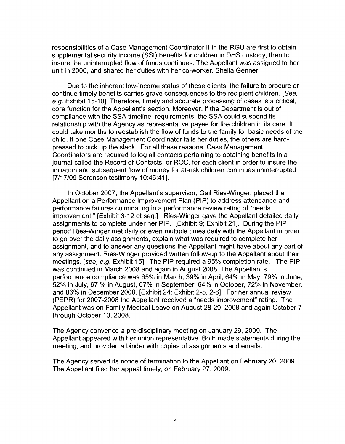responsibilities of a Case Management Coordinator 11 in the RGU are first to obtain supplemental security income (SSI) benefits for children in DHS custody, then to insure the uninterrupted flow of funds continues. The Appellant was assigned to her unit in 2006, and shared her duties with her co-worker, Sheila Genner.

Due to the inherent low-income status of these clients, the failure to procure or continue timely benefits carries grave consequences to the recipient children. [See, e.g. Exhibit 15-10]. Therefore, timely and accurate processing of cases is a critical, core function for the Appellant's section. Moreover, if the Department is out of compliance with the SSA timeline requirements, the SSA could suspend its relationship with the Agency as representative payee for the children in its care. It could take months to reestablish the flow of funds to the family for basic needs of the child. If one Case Management Coordinator fails her duties, the others are hardpressed to pick up the slack. For all these reasons, Case Management Coordinators are required to log all contacts pertaining to obtaining benefits in a journal called the Record of Contacts, or ROC, for each client in order to insure the initiation and subsequent flow of money for at-risk children continues uninterrupted. [7/17/09 Sorenson testimony 10:45:41].

In October 2007, the Appellant's supervisor, Gail Ries-Winger, placed the Appellant on a Performance Improvement Plan (PIP) to address attendance and performance failures culminating in a performance review rating of "needs improvement." [Exhibit 3-12 et seq.]. Ries-Winger gave the Appellant detailed daily assignments to complete under her PIP. [Exhibit 9; Exhibit 21]. During the PIP period Ries-Winger met daily or even multiple times daily with the Appellant in order to go over the daily assignments, explain what was required to complete her assignment, and to answer any questions the Appellant might have about any part of any assignment. Ries-Winger provided written follow-up to the Appellant about their meetings. [see, e.g. Exhibit 15]. The PIP required a 95% completion rate. The PIP was continued in March 2008 and again in August 2008. The Appellant's performance compliance was 65% in March, 39% in April, 64% in May, 79% in June, 52% in July, 67 % in August, 67% in September, 64% in October, 72% in November, and 86% in December 2008. [Exhibit 24; Exhibit 2-5, 2-6]. For her annual review (PEPR) for 2007-2008 the Appellant received a "needs improvement" rating. The Appellant was on Family Medical Leave on August 28-29, 2008 and again October 7 through October 10, 2008.

The Agency convened a pre-disciplinary meeting on January 29, 2009. The Appellant appeared with her union representative. Both made statements during the meeting, and provided a binder with copies of assignments and emails.

The Agency served its notice of termination to the Appellant on February 20, 2009. The Appellant filed her appeal timely, on February 27, 2009.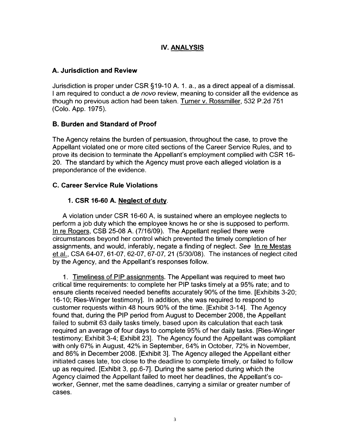# **IV. ANALYSIS**

# **A. Jurisdiction and Review**

Jurisdiction is proper under CSR §19-10 A. 1. a., as a direct appeal of a dismissal. I am required to conduct a de novo review, meaning to consider all the evidence as though no previous action had been taken. Turner v. Rossmiller, 532 P.2d 751 (Colo. App. 1975).

# **B. Burden and Standard of Proof**

The Agency retains the burden of persuasion, throughout the case, to prove the Appellant violated one or more cited sections of the Career Service Rules, and to prove its decision to terminate the Appellant's employment complied with CSR 16- 20. The standard by which the Agency must prove each alleged violation is a preponderance of the evidence.

## **C. Career Service Rule Violations**

# **1. CSR 16-60 A. Neglect of duty.**

A violation under CSR 16-60 A, is sustained where an employee neglects to perform a job duty which the employee knows he or she is supposed to perform. In re Rogers, CSB 25-08 A. (7/16/09). The Appellant replied there were circumstances beyond her control which prevented the timely completion of her assignments, and would, inferably, negate a finding of neglect. See In re Mestas et al., CSA 64-07, 61-07, 62-07, 67-07, 21 (5/30/08). The instances of neglect cited by the Agency, and the Appellant's responses follow.

1. Timeliness of PIP assignments. The Appellant was required to meet two critical time requirements: to complete her PIP tasks timely at a 95% rate; and to ensure clients received needed benefits accurately 90% of the time. [Exhibits 3-20; 16-10; Ries-Winger testimony]. In addition, she was required to respond to customer requests within 48 hours 90% of the time. [Exhibit 3-14]. The Agency found that, during the PIP period from August to December 2008, the Appellant failed to submit 63 daily tasks timely, based upon its calculation that each task required an average of four days to complete 95% of her daily tasks. [Ries-Winger testimony; Exhibit 3-4; Exhibit 23]. The Agency found the Appellant was compliant with only 67% in August, 42% in September, 64% in October, 72% in November, and 86% in December 2008. [Exhibit 3]. The Agency alleged the Appellant either initiated cases late, too close to the deadline to complete timely, or failed to follow up as required. [Exhibit 3, pp.6-7]. During the same period during which the Agency claimed the Appellant failed to meet her deadlines, the Appellant's coworker, Genner, met the same deadlines, carrying a similar or greater number of cases.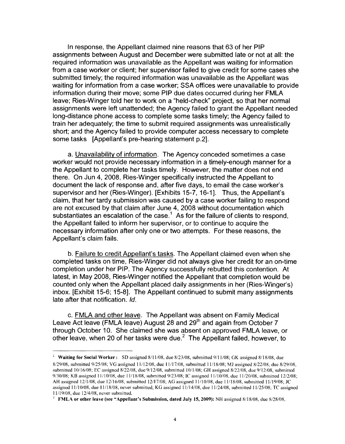In response, the Appellant claimed nine reasons that 63 of her PIP assignments between August and December were submitted late or not at all: the required information was unavailable as the Appellant was waiting for information from a case worker or client; her supervisor failed to give credit for some cases she submitted timely; the required information was unavailable as the Appellant was waiting for information from a case worker; SSA offices were unavailable to provide information during their move; some PIP due dates occurred during her FMLA leave; Ries-Winger told her to work on a "held-check" project, so that her normal assignments were left unattended; the Agency failed to grant the Appellant needed long-distance phone access to complete some tasks timely; the Agency failed to train her adequately; the time to submit required assignments was unrealistically short; and the Agency failed to provide computer access necessary to complete some tasks [Appellant's pre-hearing statement p.2].

a. Unavailability of information. The Agency conceded sometimes a case worker would not provide necessary information in a timely-enough manner for a the Appellant to complete her tasks timely. However, the matter does not end there. On Jun 4, 2008, Ries-Winger specifically instructed the Appellant to document the lack of response and, after five days, to email the case worker's supervisor and her (Ries-Winger). [Exhibits 15-7, 16-1]. Thus, the Appellant's claim, that her tardy submission was caused by a case worker failing to respond are not excused by that claim after June 4, 2008 without documentation which substantiates an escalation of the case.<sup>1</sup> As for the failure of clients to respond, the Appellant failed to inform her supervisor, or to continue to acquire the necessary information after only one or two attempts. For these reasons, the Appellant's claim fails.

b. Failure to credit Appellant's tasks. The Appellant claimed even when she completed tasks on time, Ries-Winger did not always give her credit for an on-time completion under her PIP. The Agency successfully rebutted this contention. At latest, in May 2008, Ries-Winger notified the Appellant that completion would be counted only when the Appellant placed daily assignments in her (Ries-Winger's) inbox. [Exhibit 15-6; 15-8]. The Appellant continued to submit many assignments late after that notification. Id.

c. FMLA and other leave. The Appellant was absent on Family Medical Leave Act leave (FMLA leave) August 28 and 29<sup>th</sup> and again from October 7 through October 10. She claimed she was absent on approved FMLA leave, or other leave, when 20 of her tasks were due. $<sup>2</sup>$  The Appellant failed, however, to</sup>

<sup>&</sup>lt;sup>1</sup> Waiting for Social Worker: SD assigned 8/11/08, due 8/23/08, submitted 9/11/08; GK assigned 8/18/08, due 8/29/08, submitted 9/25/08; VG assigned 11/12/08, due 11/17/08, submitted 11/18/08; MJ assigned 8/22/08, due 8/29/08, submitted 10/16/08; EC assigned 8/22/08, due 9/12/08, submitted 10/1/08; GH assigned 8/22/08, due 9/12/08, submitted 9/30/08; KB assigned 11/10/08, due 11/18/08, submitted 9/23/08; IC assigned 11/10/08, due 11/20/08, submitted 12/2/08; AH assigned 12/1/08, due 12/16/08, submitted 12/17/08; AG assigned 11/10/08, due 11/18/08, submitted 11/19/08; JC assigned 11/10/08, due 11/18/08, never submitted; KG assigned 11/14/08, due 11/24/08, submitted I 1/25/08; *TC* assigned I I /19/08, due 12/4/08, never submitted.

<sup>2</sup>**FMLA or other leave (see "Appellant's Submission, dated July 15, 2009):** NH assigned 8/18/08, due 8/28/08,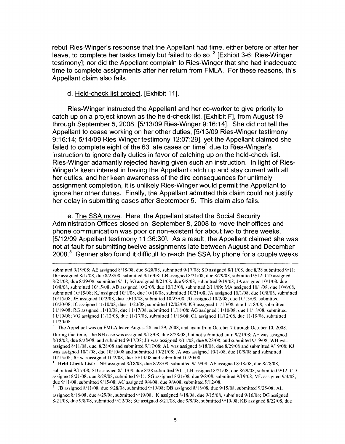rebut Ries-Winger's response that the Appellant had time, either before or after her leave, to complete her tasks timely but failed to do so.<sup>3</sup> [Exhibit 3-6; Ries-Winger] testimony]; nor did the Appellant complain to Ries-Winger that she had inadequate time to complete assignments after her return from FMLA. For these reasons, this Appellant claim also fails.

#### d. Held-check list project. [Exhibit 11].

Ries-Winger instructed the Appellant and her co-worker to give priority to catch up on a project known as the held-check list, [Exhibit F], from August 19 through September 5, 2008. [5/13/09 Ries-Winger 9:16:14]. She did not tell the Appellant to cease working on her other duties, [5/13/09 Ries-Winger testimony 9: 16: 14; 5/14/09 Ries-Winger testimony 12:07:29], yet the Appellant claimed she failed to complete eight of the 63 late cases on time $4$  due to Ries-Winger's instruction to ignore daily duties in favor of catching up on the held-check list. Ries-Winger adamantly rejected having given such an instruction. In light of Ries-Winger's keen interest in having the Appellant catch up and stay current with all her duties, and her keen awareness of the dire consequences for untimely assignment completion, it is unlikely Ries-Winger would permit the Appellant to ignore her other duties. Finally, the Appellant admitted this claim could not justify her delay in submitting cases after September 5. This claim also fails.

e. The SSA move. Here, the Appellant stated the Social Security Administration Offices closed on September 8, 2008 to move their offices and phone communication was poor or non-existent for about two to three weeks. [5/12/09 Appellant testimony 11 :36:30]. As a result, the Appellant claimed she was not at fault for submitting twelve assignments late between August and December  $2008<sup>5</sup>$  Genner also found it difficult to reach the SSA by phone for a couple weeks

submitted 9/19/08; AE assigned 8/18/08, due 8/28/08, submitted 9/17/08; SD assigned 8/11/08, due 8/28 submitted 9/11; DG assigned 8/1//08, due 8/28/08, submitted 9/16/08; LB assigned 8/21/08, due 8/29/08, submitted 9/12; CD assigned 8/21/08, due 8/29/08, submitted 9/11; SG assigned 8/21/08, due 9/8/08, submitted 9/19/08; JA assigned 10/1/08, due I 0/8/08, submitted I 0/15/08; AB assigned I 0/2/08, due I 0/13/08, submitted 2/11/09; MA assigned !0/1/08, due I 0/6/08, submitted 10/15/08; KJ assigned 10/1/08, due 10/10/08, submitted 10/21/08; JA assigned 10/1/08, due 10/8/08, submitted 10/15/08; JH assigned 10/2/08, due 10/13/08, submitted 10/23/08; JG assigned 10/2/08, due 10/13/08, submitted 10/20/08; IC assigned 11/10/08, due 11/20/08, submitted 12/02/08; KB assigned 11/10/08, due 11/18/08, submitted 11 /19/08; RG assigned l I /I0/08, due I 1/17/08, submitted 11 /18/08; AG assigned I 1/10/08, due 11 /18/08, submitted 11/19/08; VG assigned 11/12/08, due 11/17/08, submitted 11/18/08; CL assigned 11/12/08, due I 1/19/08, submitted 11/20/08.

<sup>&</sup>lt;sup>3</sup> The Appellant was on FMLA leave August 28 and 29, 2008, and again from October 7 through October 10, 2008. During that time, the NH case was assigned 8/18/08, due 8/28/08, but not submitted until 9/21/08; AE was assigned 8/18/08, due 8/28/08, and submitted 9/17/08; JB was assigned 8/11 /08, due 8/28/08, and submitted 9/19/08; WH was assigned 8/11/08, due, 8/28/08 and submitted 9/17/08; AL was assigned 8/18/08, due 8/29/08 and submitted 9/19/08; KJ was assigned  $10/1/08$ , due  $10/10/08$  and submitted  $10/21/08$ ; JA was assigned  $10/1/08$ , due  $10/8/08$  and submitted 10/15/08; JG was assigned 10/2/08, due 10/13/08 and submitted 10/20/08.

<sup>4</sup>**Held Check List:** NH assigned 8/18/08, due 8/28/08, submitted 9/19/08; AE assigned 8/18/08, due 8/28/08, submitted 9/17/08; SD assigned 8/11/08, due 8/28 submitted 9/11; LB assigned 8/21/08, due 8/29/08, submitted 9/12; CD assigned 8/21/08, due 8/29/08, submitted 9/11; SG assigned 8/21/08, due 9/8/08, submitted 9/19/08; ML assigned 9/4/08, due 9/11/08, submitted 9/15/08; AC assigned 9/4/08, due 9/9/08, submitted 9/12/08.

<sup>5</sup>JB assigned 8/11/08, due 8/28/08, submitted 9/19/08; DB assigned 8/18/08, due 9/15/08, submitted 9/25/08; AL assigned 8/18/08, due 8/29/08, submitted 9/19/08; IK assigned 8/18/08, due 9/15/08, submitted 9/16/08; DG assigned 8/21/08, due 9/8/08, submitted 9/22/08; SG assigned 8/21 /08, due 9/8/08, submitted 9/19/08; KB assigned 8/22/08, due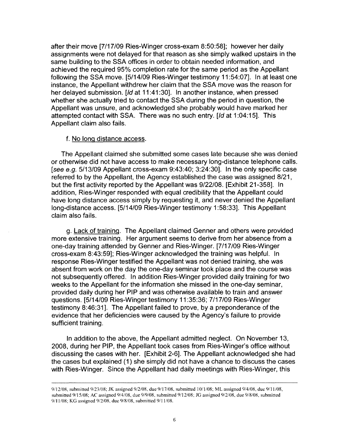after their move [7/17/09 Ries-Winger cross-exam 8:50:58]; however her daily assignments were not delayed for that reason as she simply walked upstairs in the same building to the SSA offices in order to obtain needed information, and achieved the required 95% completion rate for the same period as the Appellant following the SSA move. [5/14/09 Ries-Winger testimony 11 :54:07]. In at least one instance, the Appellant withdrew her claim that the SSA move was the reason for her delayed submission. [Id at 11:41:30]. In another instance, when pressed whether she actually tried to contact the SSA during the period in question, the Appellant was unsure, and acknowledged she probably would have marked her attempted contact with SSA. There was no such entry. [Id at 1 :04:15]. This Appellant claim also fails.

#### f. No long distance access.

The Appellant claimed she submitted some cases late because she was denied or otherwise did not have access to make necessary long-distance telephone calls. [see e.g. 5/13/09 Appellant cross-exam 9:43:40; 3:24:30]. In the only specific case referred to by the Appellant, the Agency established the case was assigned 8/21, but the first activity reported by the Appellant was 9/22/08. [Exhibit 21-358]. In addition, Ries-Winger responded with equal credibility that the Appellant could have long distance access simply by requesting it, and never denied the Appellant long-distance access. [5/14/09 Ries-Winger testimony 1 :58:33]. This Appellant claim also fails.

g. Lack of training. The Appellant claimed Genner and others were provided more extensive training. Her argument seems to derive from her absence from a one-day training attended by Genner and Ries-Winger. [7/17/09 Ries-Winger cross-exam 8:43:59]; Ries-Winger acknowledged the training was helpful. In response Ries-Winger testified the Appellant was not denied training, she was absent from work on the day the one-day seminar took place and the course was not subsequently offered. In addition Ries-Winger provided daily training for two weeks to the Appellant for the information she missed in the one-day seminar, provided daily during her PIP and was otherwise available to train and answer questions. [5/14/09 Ries-Winger testimony 11 :35:36; 7/17/09 Ries-Winger testimony 8:46:31]. The Appellant failed to prove, by a preponderance of the evidence that her deficiencies were caused by the Agency's failure to provide sufficient training.

In addition to the above, the Appellant admitted neglect. On November 13, 2008, during her PIP, the Appellant took cases from Ries-Winger's office without discussing the cases with her. [Exhibit 2-6]. The Appellant acknowledged she had the cases but explained (1) she simply did not have a chance to discuss the cases with Ries-Winger. Since the Appellant had daily meetings with Ries-Winger, this

<sup>9/12/08,</sup> submitted 9/23/08; JK assigned 9/2/08, due 9/17/08, submitted I 0/1/08; ML assigned 9/4/08, due 9/11/08, submitted 9/15/08; AC assigned 9/4/08, due 9/9/08, submitted 9/12/08; JG assigned 9/2/08, due 9/8/08, submitted 9/11/08; KG assigned 9/2/08, due 9/8/08, submitted 9/11/08.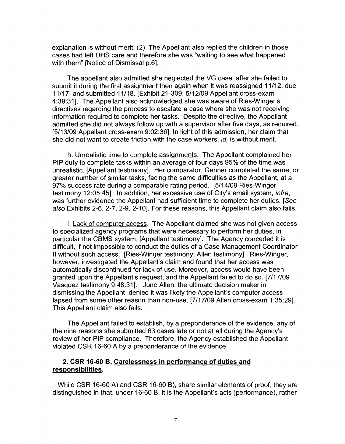explanation is without merit. (2) The Appellant also replied the children in those cases had left OHS care and therefore she was "waiting to see what happened with them" [Notice of Dismissal p.6].

The appellant also admitted she neglected the VG case, after she failed to submit it during the first assignment then again when it was reassigned 11/12, due 11 /17, and submitted 11 /18. [Exhibit 21-309; 5/12/09 Appellant cross-exam 4:39:31]. The Appellant also acknowledged she was aware of Ries-Winger's directives regarding the process to escalate a case where she was not receiving information required to complete her tasks. Despite the directive, the Appellant admitted she did not always follow up with a supervisor after five days, as required. [5/13/09 Appellant cross-exam 9:02:36]. In light of this admission, her claim that she did not want to create friction with the case workers, id, is without merit.

h. Unrealistic time to complete assignments. The Appellant complained her PIP duty to complete tasks within an average of four days 95% of the time was unrealistic. [Appellant testimony]. Her comparator, Genner completed the same, or greater number of similar tasks, facing the same difficulties as the Appellant, at a 97% success rate during a comparable rating period. [5/14/09 Ries-Winger testimony 12:05:45]. In addition, her excessive use of City's email system. infra. was further evidence the Appellant had sufficient time to complete her duties. [See also Exhibits 2-6, 2-7, 2-9, 2-10]. For these reasons, this Appellant claim also fails.

i. Lack of computer access. The Appellant claimed she was not given access to specialized agency programs that were necessary to perform her duties, in particular the CBMS system. [Appellant testimony]. The Agency conceded it is difficult, if not impossible to conduct the duties of a Case Management Coordinator II without such access. [Ries-Winger testimony; Allen testimony]. Ries-Winger, however, investigated the Appellant's claim and found that her access was automatically discontinued for lack of use. Moreover, access would have been granted upon the Appellant's request, and the Appellant failed to do so. [7/17/09 Vasquez testimony 9:48:31]. June Allen, the ultimate decision maker in dismissing the Appellant, denied it was likely the Appellant's computer access lapsed from some other reason than non-use. [7/17/09 Allen cross-exam 1:35:29]. This Appellant claim also fails.

The Appellant failed to establish, by a preponderance of the evidence, any of the nine reasons she submitted 63 cases late or not at all during the Agency's review of her PIP compliance. Therefore, the Agency established the Appellant violated CSR 16-60 A by a preponderance of the evidence.

### **2. CSR 16-60 B. Carelessness in performance of duties and responsibilities.**

While CSR 16-60 A) and CSR 16-60 8), share similar elements of proof, they are distinguished in that, under 16-60 B, it is the Appellant's acts (performance), rather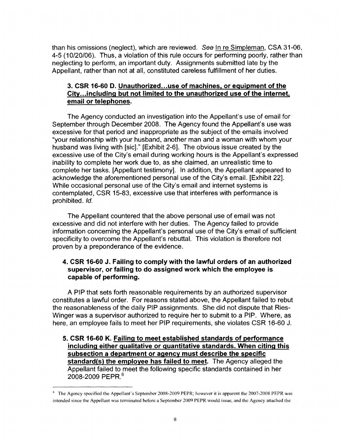than his omissions (neglect), which are reviewed. See In re Simpleman, CSA 31-06, 4-5 ( 10/20/06). Thus, a violation of this rule occurs for performing poorly, rather than neglecting to perform, an important duty. Assignments submitted late by the Appellant, rather than not at all, constituted careless fulfillment of her duties.

# **3. CSR 16-60 D. Unauthorized ... use of machines, or equipment of the City .. .including but not limited to the unauthorized use of the internet, email or telephones.**

The Agency conducted an investigation into the Appellant's use of email for September through December 2008. The Agency found the Appellant's use was excessive for that period and inappropriate as the subject of the emails involved "your relationship with your husband, another man and a woman with whom your husband was living with [sic]." [Exhibit 2-6]. The obvious issue created by the excessive use of the City's email during working hours is the Appellant's expressed inability to complete her work due to, as she claimed, an unrealistic time to complete her tasks. [Appellant testimony]. In addition, the Appellant appeared to acknowledge the aforementioned personal use of the City's email. [Exhibit 22]. While occasional personal use of the City's email and internet systems is contemplated, CSR 15-83, excessive use that interferes with performance is prohibited. Id.

The Appellant countered that the above personal use of email was not excessive and did not interfere with her duties. The Agency failed to provide information concerning the Appellant's personal use of the City's email of sufficient specificity to overcome the Appellant's rebuttal. This violation is therefore not proven by a preponderance of the evidence.

## **4. CSR 16-60 J. Failing to comply with the lawful orders of an authorized supervisor, or failing to do assigned work which the employee is capable of performing.**

A PIP that sets forth reasonable requirements by an authorized supervisor constitutes a lawful order. For reasons stated above, the Appellant failed to rebut the reasonableness of the daily PIP assignments. She did not dispute that Ries-Winger was a supervisor authorized to require her to submit to a PIP. Where, as here, an employee fails to meet her PIP requirements, she violates CSR 16-60 J.

**5. CSR 16-60 K. Failing to meet established standards of performance including either qualitative or quantitative standards. When citing this subsection a department or agency must describe the specific standard(s) the employee has failed to meet.** The Agency alleged the Appellant failed to meet the following specific standards contained in her 2008-2009 PEPR.<sup>6</sup>

<sup>&</sup>lt;sup>6</sup> The Agency specified the Appellant's September 2008-2009 PEPR; however it is apparent the 2007-2008 PEPR was intended since the Appellant was terminated before a September 2009 PEPR would issue, and the Agency attached the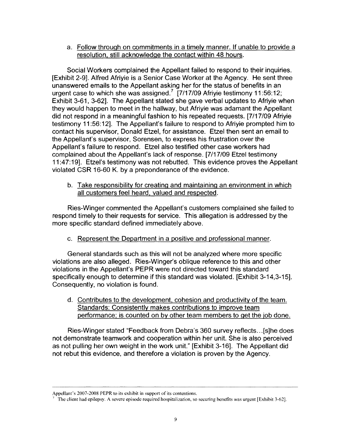a. Follow through on commitments in a timely manner. If unable to provide a resolution, still acknowledge the contact within 48 hours.

Social Workers complained the Appellant failed to respond to their inquiries. [Exhibit 2-9]. Alfred Afriyie is a Senior Case Worker at the Agency. He sent three unanswered emails to the Appellant asking her for the status of benefits in an urgent case to which she was assigned.<sup>7</sup> [7/17/09 Afriyie testimony 11:56:12; Exhibit 3-61, 3-62]. The Appellant stated she gave verbal updates to Afriyie when they would happen to meet in the hallway, but Afriyie was adamant the Appellant did not respond in a meaningful fashion to his repeated requests. [7/17/09 Afriyie testimony 11 :56:12]. The Appellant's failure to respond to Afriyie prompted him to contact his supervisor, Donald Etzel, for assistance. Etzel then sent an email to the Appellant's supervisor, Sorensen, to express his frustration over the Appellant's failure to respond. Etzel also testified other case workers had complained about the Appellant's lack of response. [7/17/09 Etzel testimony 11 :47:19]. Etzel's testimony was not rebutted. This evidence proves the Appellant violated CSR 16-60 K. by a preponderance of the evidence.

b. Take responsibility for creating and maintaining an environment in which all customers feel heard, valued and respected.

Ries-Winger commented the Appellant's customers complained she failed to respond timely to their requests for service. This allegation is addressed by the more specific standard defined immediately above.

c. Represent the Department in a positive and professional manner.

General standards such as this will not be analyzed where more specific violations are also alleged. Ries-Winger's oblique reference to this and other violations in the Appellant's PEPR were not directed toward this standard specifically enough to determine if this standard was violated. [Exhibit 3-14,3-15]. Consequently, no violation is found.

d. Contributes to the development, cohesion and productivity of the team. Standards: Consistently makes contributions to improve team performance; is counted on by other team members to get the job done.

Ries-Winger stated "Feedback from Debra's 360 survey reflects ... [s]he does not demonstrate teamwork and cooperation within her unit. She is also perceived as not pulling her own weight in the work unit." [Exhibit 3-16]. The Appellant did not rebut this evidence, and therefore a violation is proven by the Agency.

Appellant's 2007-2008 PEPR to its exhibit in support of its contentions.

The client had epilepsy. A severe episode required hospitalization, so securing benefits was urgent [Exhibit 3-62].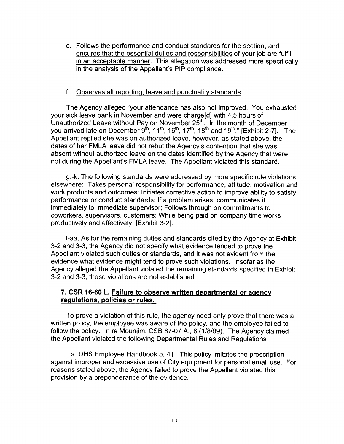e. Follows the performance and conduct standards for the section. and ensures that the essential duties and responsibilities of your job are fulfill in an acceptable manner. This allegation was addressed more specifically in the analysis of the Appellant's PIP compliance.

#### f. Observes all reporting, leave and punctuality standards.

The Agency alleged "your attendance has also not improved. You exhausted your sick leave bank in November and were charge[d] with 4.5 hours of Unauthorized Leave without Pay on November 25<sup>th</sup>. In the month of December you arrived late on December  $9^{\text{th}}$ , 11<sup>th</sup>, 16<sup>th</sup>, 17<sup>th</sup>, 18<sup>th</sup> and 19<sup>th</sup>." [Exhibit 2-7]. The Appellant replied she was on authorized leave, however, as stated above, the dates of her FMLA leave did not rebut the Agency's contention that she was absent without authorized leave on the dates identified by the Agency that were not during the Appellant's FMLA leave. The Appellant violated this standard.

g.-k. The following standards were addressed by more specific rule violations elsewhere: "Takes personal responsibility for performance, attitude, motivation and work products and outcomes; Initiates corrective action to improve ability to satisfy performance or conduct standards; If a problem arises, communicates it immediately to immediate supervisor; Follows through on commitments to coworkers, supervisors, customers; While being paid on company time works productively and effectively. [Exhibit 3-2].

I-aa. As for the remaining duties and standards cited by the Agency at Exhibit 3-2 and 3-3, the Agency did not specify what evidence tended to prove the Appellant violated such duties or standards, and it was not evident from the evidence what evidence might tend to prove such violations. Insofar as the Agency alleged the Appellant violated the remaining standards specified in Exhibit 3-2 and 3-3, those violations are not established.

#### **7. CSR 16-60 L. Failure to observe written departmental or agency regulations, policies or rules.**

To prove a violation of this rule, the agency need only prove that there was a written policy, the employee was aware of the policy, and the employee failed to follow the policy. In re Mounjim, CSB 87-07 A., 6 (1/8/09). The Agency claimed the Appellant violated the following Departmental Rules and Regulations

a. DHS Employee Handbook p. 41. This policy imitates the proscription against improper and excessive use of City equipment for personal email use. For reasons stated above, the Agency failed to prove the Appellant violated this provision by a preponderance of the evidence.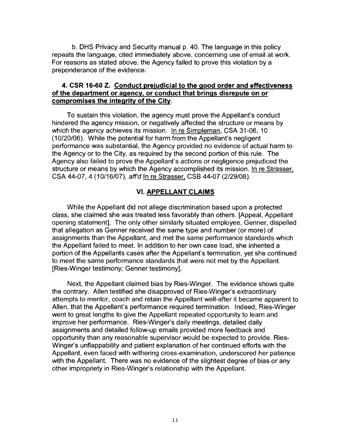b. OHS Privacy and Security manual p. 40. The language in this policy repeats the language, cited immediately above, concerning use of email at work. For reasons as stated above, the Agency failed to prove this violation by a preponderance of the evidence.

#### **4. CSR 16-60 Z. Conduct preiudicial to the good order and effectiveness of the department or agency, or conduct that brings disrepute on or compromises the integrity of the City.**

To sustain this violation, the agency must prove the Appellant's conduct hindered the agency mission, or negatively affected the structure or means by which the agency achieves its mission. In re Simpleman, CSA 31-06, 10 ( 10/20/06). While the potential for harm from the Appellant's negligent performance was substantial, the Agency provided no evidence of actual harm to the Agency or to the City, as required by the second portion of this rule. The Agency also failed to prove the Appellant's actions or negligence prejudiced the structure or means by which the Agency accomplished its mission. In re Strasser, CSA 44-07, 4 (10/16/07), aff'd In re Strasser, CSB 44-07 (2/29/08).

#### **VI. APPELLANT CLAIMS**

While the Appellant did not allege discrimination based upon a protected class, she claimed she was treated less favorably than others. [Appeal, Appellant opening statement]. The only other similarly situated employee, Genner, dispelled that allegation as Genner received the same type and number (or more) of assignments than the Appellant, and met the same performance standards which the Appellant failed to meet. In addition to her own case load, she inherited a portion of the Appellants cases after the Appellant's termination, yet she continued to meet the same performance standards that were not met by the Appellant. [Ries-Winger testimony; Genner testimony].

Next, the Appellant claimed bias by Ries-Winger. The evidence shows quite the contrary. Allen testified she disapproved of Ries-Winger's extraordinary attempts to mentor, coach and retain the Appellant well-after it became apparent to Allen, that the Appellant's performance required termination. Indeed, Ries-Winger went to great lengths to give the Appellant repeated opportunity to learn and improve her performance. Ries-Winger's daily meetings, detailed daily assignments and detailed follow-up emails provided more feedback and opportunity than any reasonable supervisor would be expected to provide. Ries-Winger's unflappability and patient explanation of her continued efforts with the Appellant, even faced with withering cross-examination, underscored her patience with the Appellant. There was no evidence of the slightest degree of bias or any other impropriety in Ries-Winger's relationship with the Appellant.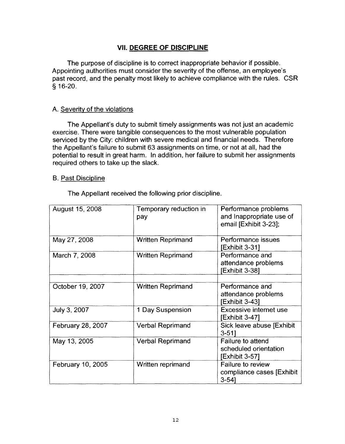# **VII. DEGREE OF DISCIPLINE**

The purpose of discipline is to correct inappropriate behavior if possible. Appointing authorities must consider the severity of the offense, an employee's past record, and the penalty most likely to achieve compliance with the rules. CSR § 16-20.

#### A. Severity of the violations

The Appellant's duty to submit timely assignments was not just an academic exercise. There were tangible consequences to the most vulnerable population serviced by the City: children with severe medical and financial needs. Therefore the Appellant's failure to submit 63 assignments on time, or not at all, had the potential to result in great harm. In addition, her failure to submit her assignments required others to take up the slack.

#### B. Past Discipline

The Appellant received the following prior discipline.

| August 15, 2008   | Temporary reduction in<br>pay | Performance problems<br>and Inappropriate use of<br>email [Exhibit 3-23]; |
|-------------------|-------------------------------|---------------------------------------------------------------------------|
| May 27, 2008      | <b>Written Reprimand</b>      | Performance issues<br><b>[Exhibit 3-31]</b>                               |
| March 7, 2008     | Written Reprimand             | Performance and<br>attendance problems<br>Exhibit 3-38]                   |
|                   |                               |                                                                           |
| October 19, 2007  | <b>Written Reprimand</b>      | Performance and<br>attendance problems<br>[Exhibit 3-43]                  |
| July 3, 2007      | 1 Day Suspension              | <b>Excessive internet use</b><br>Exhibit 3-47]                            |
| February 28, 2007 | <b>Verbal Reprimand</b>       | Sick leave abuse [Exhibit<br>$3 - 511$                                    |
| May 13, 2005      | <b>Verbal Reprimand</b>       | Failure to attend<br>scheduled orientation<br>Exhibit 3-57]               |
| February 10, 2005 | Written reprimand             | <b>Failure to review</b><br>compliance cases [Exhibit]<br>$3 - 54$        |